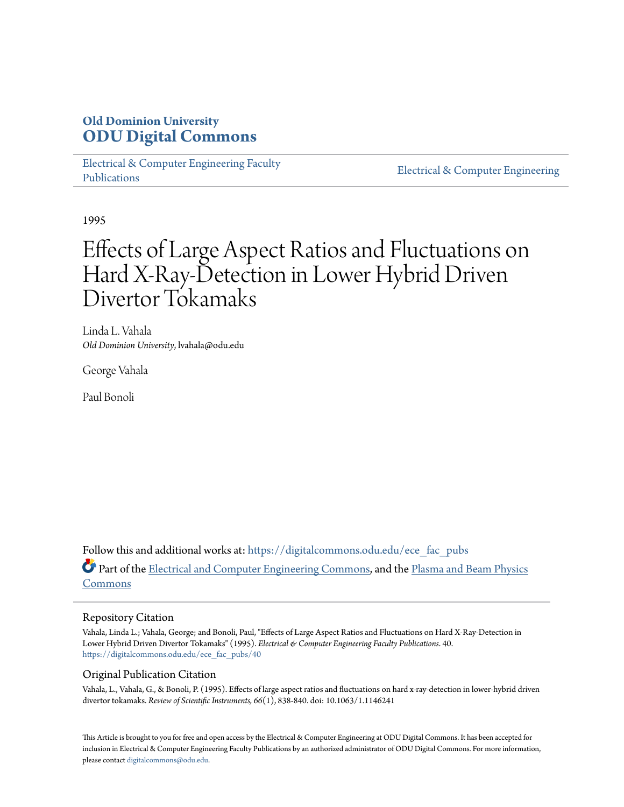# **Old Dominion University [ODU Digital Commons](https://digitalcommons.odu.edu?utm_source=digitalcommons.odu.edu%2Fece_fac_pubs%2F40&utm_medium=PDF&utm_campaign=PDFCoverPages)**

[Electrical & Computer Engineering Faculty](https://digitalcommons.odu.edu/ece_fac_pubs?utm_source=digitalcommons.odu.edu%2Fece_fac_pubs%2F40&utm_medium=PDF&utm_campaign=PDFCoverPages) [Publications](https://digitalcommons.odu.edu/ece_fac_pubs?utm_source=digitalcommons.odu.edu%2Fece_fac_pubs%2F40&utm_medium=PDF&utm_campaign=PDFCoverPages)

[Electrical & Computer Engineering](https://digitalcommons.odu.edu/ece?utm_source=digitalcommons.odu.edu%2Fece_fac_pubs%2F40&utm_medium=PDF&utm_campaign=PDFCoverPages)

1995

# Effects of Large Aspect Ratios and Fluctuations on Hard X-Ray-Detection in Lower Hybrid Driven Divertor Tokamaks

Linda L. Vahala *Old Dominion University*, lvahala@odu.edu

George Vahala

Paul Bonoli

Follow this and additional works at: [https://digitalcommons.odu.edu/ece\\_fac\\_pubs](https://digitalcommons.odu.edu/ece_fac_pubs?utm_source=digitalcommons.odu.edu%2Fece_fac_pubs%2F40&utm_medium=PDF&utm_campaign=PDFCoverPages) Part of the [Electrical and Computer Engineering Commons](http://network.bepress.com/hgg/discipline/266?utm_source=digitalcommons.odu.edu%2Fece_fac_pubs%2F40&utm_medium=PDF&utm_campaign=PDFCoverPages), and the [Plasma and Beam Physics](http://network.bepress.com/hgg/discipline/205?utm_source=digitalcommons.odu.edu%2Fece_fac_pubs%2F40&utm_medium=PDF&utm_campaign=PDFCoverPages) [Commons](http://network.bepress.com/hgg/discipline/205?utm_source=digitalcommons.odu.edu%2Fece_fac_pubs%2F40&utm_medium=PDF&utm_campaign=PDFCoverPages)

## Repository Citation

Vahala, Linda L.; Vahala, George; and Bonoli, Paul, "Effects of Large Aspect Ratios and Fluctuations on Hard X-Ray-Detection in Lower Hybrid Driven Divertor Tokamaks" (1995). *Electrical & Computer Engineering Faculty Publications*. 40. [https://digitalcommons.odu.edu/ece\\_fac\\_pubs/40](https://digitalcommons.odu.edu/ece_fac_pubs/40?utm_source=digitalcommons.odu.edu%2Fece_fac_pubs%2F40&utm_medium=PDF&utm_campaign=PDFCoverPages)

## Original Publication Citation

Vahala, L., Vahala, G., & Bonoli, P. (1995). Effects of large aspect ratios and fluctuations on hard x-ray-detection in lower-hybrid driven divertor tokamaks. *Review of Scientific Instruments, 66*(1), 838-840. doi: 10.1063/1.1146241

This Article is brought to you for free and open access by the Electrical & Computer Engineering at ODU Digital Commons. It has been accepted for inclusion in Electrical & Computer Engineering Faculty Publications by an authorized administrator of ODU Digital Commons. For more information, please contact [digitalcommons@odu.edu](mailto:digitalcommons@odu.edu).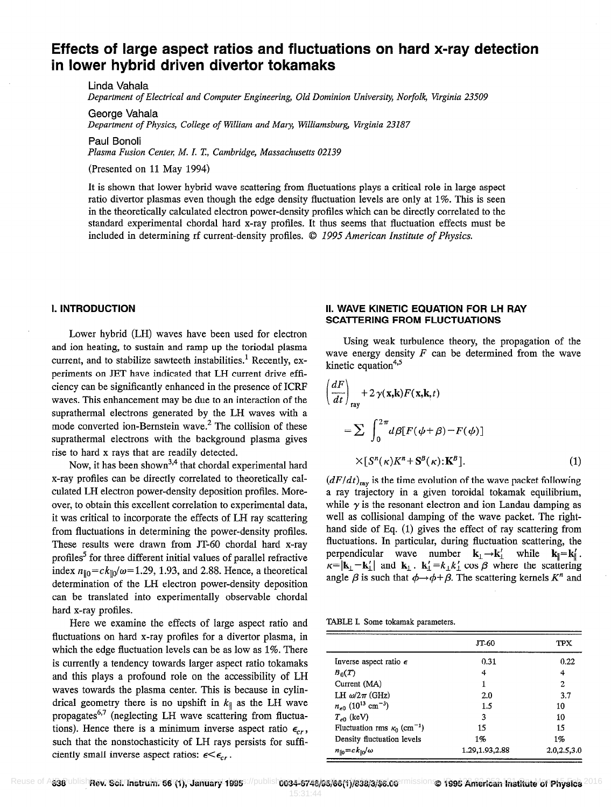# Effects of large aspect ratios and fluctuations on hard x-ray detection in lower hybrid driven divertor tokamaks

Linda Vahala Department of Electrical and Computer Engineering, Old Dominion University, Norfolk, Virginia 23509

George Vahala Department of Physics, College of William and Mary, Williamsburg, Virginia 23187

Paul Bonoli

Plasma Fusion Center; M. I. T, Cambridge, Massachusetts 02139

(Presented on 11 May 1994)

It is shown that lower hybrid wave scattering from fluctuations plays a critical role in large aspect ratio divertor plasmas even though the edge density fluctuation levels are only at 1%. This is seen in the theoretically calculated electron power-density profiles which can be directly correlated to the standard experimental chordal hard x-ray profiles. It thus seems that tluctuation effects must be included in determining rf current-density profiles.  $© 1995$  American Institute of Physics.

### I. INTRODUCTION

Lower hybrid (LH) waves have been used for electron and ion heating, to sustain and ramp up the toriodal plasma current, and to stabilize sawteeth instabilities.<sup>1</sup> Recently, experiments on JET have indicated that LH current drive efficiency can be significantly enhanced in the presence of ICRP waves. This enhancement may be due to an interaction of the suprathermal electrons generated by the LH waves with a mode converted ion-Bernstein wave.<sup>2</sup> The collision of these suprathermal electrons with the background plasma gives rise to hard x rays that are readily detected.

Now, it has been shown<sup>3,4</sup> that chordal experimental hard x-ray profiles can be directly correlated to theoretically calculated LH electron power-density deposition profiles. Moreover, to obtain this excellent correlation to experimental data, it was critical to incorporate the effects of LH ray scattering from fluctuations in determining the power-density profiles. These results were drawn from JT-60 chordal hard x-ray profiles? for three different initial values of parallel refractive index  $n_{\parallel 0} = ck_{\parallel 0}/\omega = 1.29$ , 1.93, and 2.88. Hence, a theoretical determination of the LH electron power-density deposition can be translated into experimentally observable chordal hard x-ray profiles.

Here we examine the effects of large aspect ratio and fluctuations on hard x-ray profiles for a divertor plasma, in which the edge fluctuation levels can be as low as 1%. There is currently a tendency towards larger aspect ratio tokamaks and this plays a profound roie on the accessibility of LH waves towards the plasma center. This is because in cylindrical geometry there is no upshift in  $k_{\parallel}$  as the LH wave propagates<sup>6,7</sup> (neglecting LH wave scattering from fluctuations). Hence there is a minimum inverse aspect ratio  $\epsilon_{cr}$ , such that the nonstochasticity of LH rays persists for sufficiently small inverse aspect ratios:  $\epsilon < \epsilon_{cr}$ .

#### II. WAVE KINETIC EQUATION FOR LH RAY SCATTERING FROM FLUCTUATIONS

Using weak turbulence theory, the propagation of the wave energy density  $F$  can be determined from the wave kinetic equation<sup>4,5</sup>

$$
\left(\frac{dF}{dt}\right)_{\text{ray}} + 2\,\gamma(\mathbf{x},\mathbf{k})F(\mathbf{x},\mathbf{k},t)
$$
\n
$$
= \sum \int_0^{2\,\pi} d\beta [F(\phi+\beta)-F(\phi)]
$$
\n
$$
\times [S^n(\kappa)K^n + S^B(\kappa);\mathbf{K}^B]. \tag{1}
$$

 $(dF/dt)_{\text{ray}}$  is the time evolution of the wave packet following a ray trajectory in a given toroidal tokamak equilibrium, while  $\gamma$  is the resonant electron and ion Landau damping as well as collisional damping of the wave packet. The righthand side of Eq. (1) gives the effect of ray scattering from fluctuations. In particular, during fluctuation scattering, the perpendicular wave number  $\mathbf{k}_{\perp} \rightarrow \mathbf{k}'_1$  while  $\mathbf{k}_{\parallel} = \mathbf{k}'_1$ .  $\kappa = |\mathbf{k}_\perp - \mathbf{k}'_\perp|$  and  $\mathbf{k}_\perp \cdot \mathbf{k}'_\perp = k_\perp k'_\perp \cos \beta$  where the scattering angle  $\beta$  is such that  $\phi \rightarrow \phi + \beta$ . The scattering kernels  $K^n$  and

|  |  |  |  |  |  | TABLE I. Some tokamak parameters. |
|--|--|--|--|--|--|-----------------------------------|
|--|--|--|--|--|--|-----------------------------------|

|                                                | JT-60            | TPX         |
|------------------------------------------------|------------------|-------------|
| Inverse aspect ratio $\epsilon$                | 0.31             | 0.22        |
| $B_0(T)$                                       | 4                | 4           |
| Current (MA)                                   | 1                | 2           |
| LH $\omega/2\pi$ (GHz)                         | 2.0              | 3.7         |
| $n_{e0}$ (10 <sup>13</sup> cm <sup>-3</sup> )  | 1.5              | 10          |
| $T_{e0}$ (keV)                                 | 3                | 10          |
| Fluctuation rms $\kappa_0$ (cm <sup>-1</sup> ) | 15               | 15          |
| Density fluctuation levels                     | 1%               | $1\%$       |
| $n_{\parallel 0} = c k_{\parallel 0}/\omega$   | 1.29, 1.93, 2.88 | 2.0,2.5,3.0 |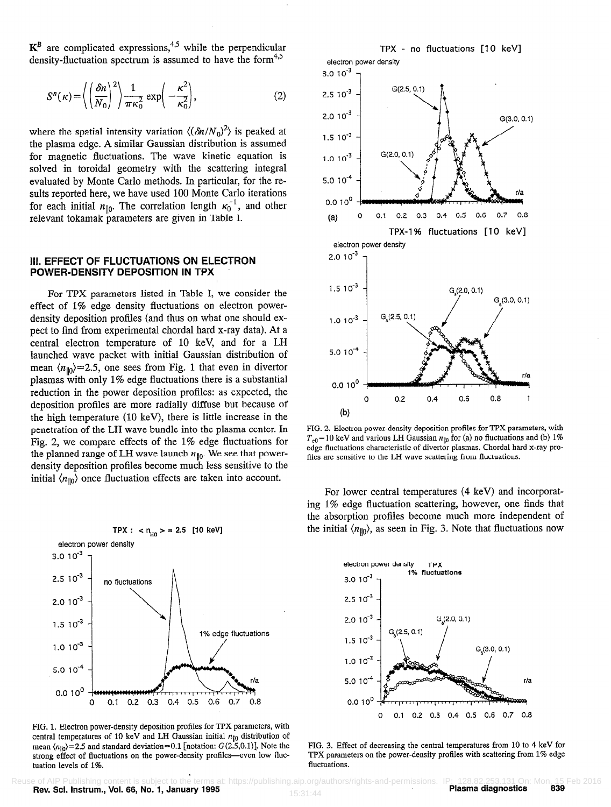$K^B$  are complicated expressions,<sup>4,5</sup> while the perpendicular density-fluctuation spectrum is assumed to have the form $4.5$ 

$$
S^{n}(\kappa) = \left\langle \left(\frac{\delta n}{N_0}\right)^2 \right\rangle \frac{1}{\pi \kappa_0^2} \exp\left(-\frac{\kappa^2}{\kappa_0^2}\right),\tag{2}
$$

where the spatial intensity variation  $\langle (\delta n/N_0)^2 \rangle$  is peaked at the plasma edge. A similar Gaussian distribution is assumed for magnetic fluctuations. The wave kinetic equation is solved in toroidal geometry with the scattering integral evaluated by Monte Carlo methods. In particular, for the results reported here, we have used 100 Monte Carlo iterations for each initial  $n_{\parallel 0}$ . The correlation length  $\kappa_0^{-1}$ , and other relevant tokamak parameters are given in Table I.

#### Ill. EFFECT OF FLUCTUATIONS ON ELECTRON POWER-DENSITY DEPOSITION IN TPX

For TPX parameters listed in Table I, we consider the effect of 1% edge density fluctuations on electron powerdensity deposition profiles {and thus on what one should expect to find from experimental chordal hard x-ray data). At a central electron temperature of 10 keV, and for a LH launched wave packet with initial Gaussian distribution of mean  $\langle n_{\parallel 0} \rangle$  = 2.5, one sees from Fig. 1 that even in divertor plasmas with only 1% edge fluctuations there is a substantial reduction in the power deposition profiles: as expected, the deposition profiles are more radially diffuse but because of the high temperature (10 keV), there is little increase in the penetration of the LH wave bundle into the plasma center. In Fig. 2, we compare effects of the 1% edge fluctuations for the planned range of LH wave launch  $n_{\parallel 0}$ . We see that powerdensity deposition profiles become much less sensitive to the initial  $\langle n_{\parallel 0} \rangle$  once fluctuation effects are taken into account.



FIG. 1. Electron power-density deposition profiles for TPX parameters, with central temperatures of 10 keV and LH Gaussian initial  $n_{\parallel 0}$  distribution of mean  $\langle n_{\parallel 0} \rangle$  = 2.5 and standard deviation=0.1 [notation:  $G(2.5,0.1)$ ]. Note the strong effect of fluctuations on the power-density profiles-even low fluctuation levels of 1%.



FIG. 2. Electron power-density deposition profiles for TPX parameters, with  $T_{e0}$  = 10 keV and various LH Gaussian  $n_{\parallel 0}$  for (a) no fluctuations and (b) 1% edge fluctuations characteristic of divertor plasmas. Chordal hard x-ray profiles are sensitive to the LH wave scattering from fluctuations.

For lower central temperatures (4 keV) and incorporating 1% edge fluctuation scattering, however, one finds that the absorption profiles become much more independent of the initial  $\langle n_{\parallel 0} \rangle$ , as seen in Fig. 3. Note that fluctuations now



FIG. 3. Effect of decreasing the central temperatures from 10 to 4 keV for TPX parameters on the power-density profiles with scattering from 1% edge fluctuations.